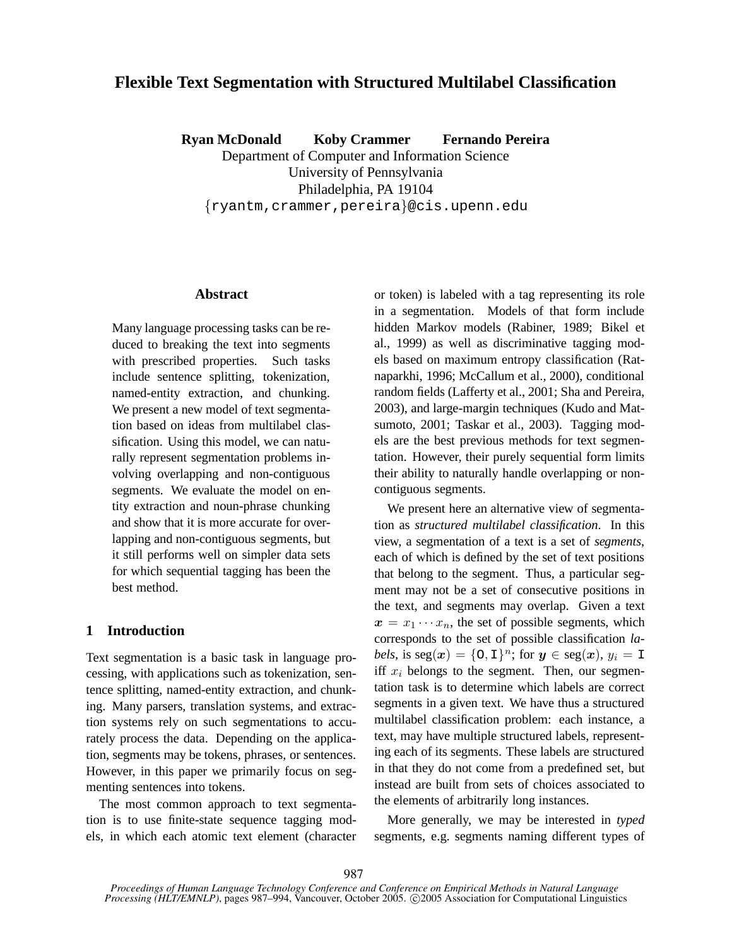# **Flexible Text Segmentation with Structured Multilabel Classification**

**Ryan McDonald Koby Crammer Fernando Pereira**

Department of Computer and Information Science University of Pennsylvania Philadelphia, PA 19104 {ryantm,crammer,pereira}@cis.upenn.edu

## **Abstract**

Many language processing tasks can be reduced to breaking the text into segments with prescribed properties. Such tasks include sentence splitting, tokenization, named-entity extraction, and chunking. We present a new model of text segmentation based on ideas from multilabel classification. Using this model, we can naturally represent segmentation problems involving overlapping and non-contiguous segments. We evaluate the model on entity extraction and noun-phrase chunking and show that it is more accurate for overlapping and non-contiguous segments, but it still performs well on simpler data sets for which sequential tagging has been the best method.

# **1 Introduction**

Text segmentation is a basic task in language processing, with applications such as tokenization, sentence splitting, named-entity extraction, and chunking. Many parsers, translation systems, and extraction systems rely on such segmentations to accurately process the data. Depending on the application, segments may be tokens, phrases, or sentences. However, in this paper we primarily focus on segmenting sentences into tokens.

The most common approach to text segmentation is to use finite-state sequence tagging models, in which each atomic text element (character or token) is labeled with a tag representing its role in a segmentation. Models of that form include hidden Markov models (Rabiner, 1989; Bikel et al., 1999) as well as discriminative tagging models based on maximum entropy classification (Ratnaparkhi, 1996; McCallum et al., 2000), conditional random fields (Lafferty et al., 2001; Sha and Pereira, 2003), and large-margin techniques (Kudo and Matsumoto, 2001; Taskar et al., 2003). Tagging models are the best previous methods for text segmentation. However, their purely sequential form limits their ability to naturally handle overlapping or noncontiguous segments.

We present here an alternative view of segmentation as *structured multilabel classification*. In this view, a segmentation of a text is a set of *segments*, each of which is defined by the set of text positions that belong to the segment. Thus, a particular segment may not be a set of consecutive positions in the text, and segments may overlap. Given a text  $x = x_1 \cdots x_n$ , the set of possible segments, which corresponds to the set of possible classification *la*bels, is  $\text{seg}(\boldsymbol{x}) = \{0, 1\}^n$ ; for  $\boldsymbol{y} \in \text{seg}(\boldsymbol{x})$ ,  $y_i = 1$ iff  $x_i$  belongs to the segment. Then, our segmentation task is to determine which labels are correct segments in a given text. We have thus a structured multilabel classification problem: each instance, a text, may have multiple structured labels, representing each of its segments. These labels are structured in that they do not come from a predefined set, but instead are built from sets of choices associated to the elements of arbitrarily long instances.

More generally, we may be interested in *typed* segments, e.g. segments naming different types of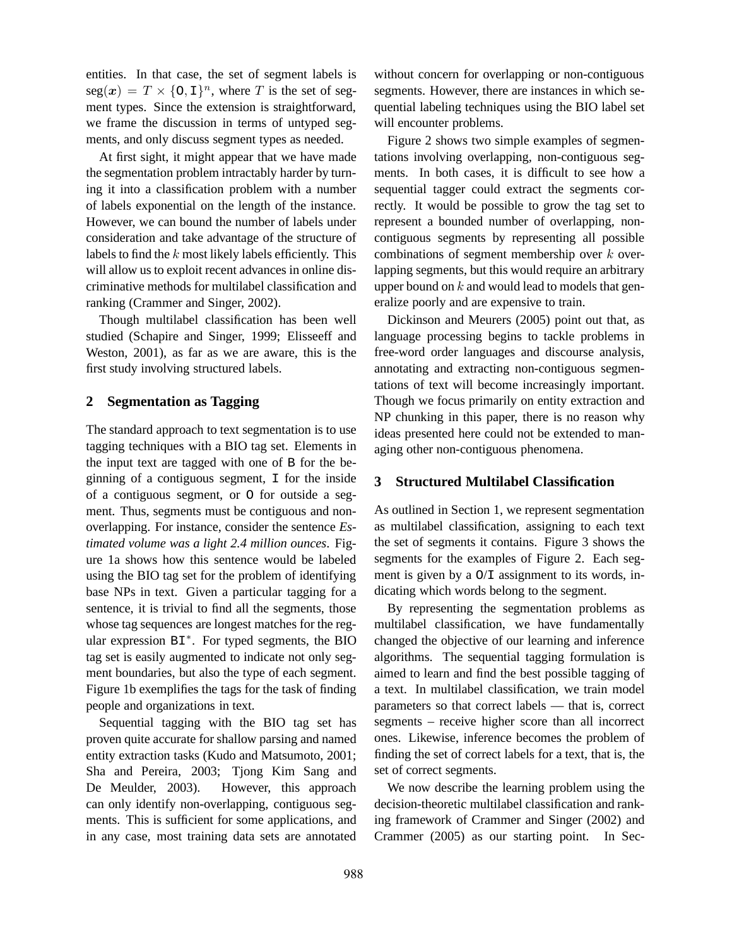entities. In that case, the set of segment labels is  $\text{seg}(\boldsymbol{x}) = T \times \{0, 1\}^n$ , where T is the set of segment types. Since the extension is straightforward, we frame the discussion in terms of untyped segments, and only discuss segment types as needed.

At first sight, it might appear that we have made the segmentation problem intractably harder by turning it into a classification problem with a number of labels exponential on the length of the instance. However, we can bound the number of labels under consideration and take advantage of the structure of labels to find the  $k$  most likely labels efficiently. This will allow us to exploit recent advances in online discriminative methods for multilabel classification and ranking (Crammer and Singer, 2002).

Though multilabel classification has been well studied (Schapire and Singer, 1999; Elisseeff and Weston, 2001), as far as we are aware, this is the first study involving structured labels.

## **2 Segmentation as Tagging**

The standard approach to text segmentation is to use tagging techniques with a BIO tag set. Elements in the input text are tagged with one of B for the beginning of a contiguous segment, I for the inside of a contiguous segment, or O for outside a segment. Thus, segments must be contiguous and nonoverlapping. For instance, consider the sentence *Estimated volume was a light 2.4 million ounces*. Figure 1a shows how this sentence would be labeled using the BIO tag set for the problem of identifying base NPs in text. Given a particular tagging for a sentence, it is trivial to find all the segments, those whose tag sequences are longest matches for the regular expression BI<sup>\*</sup>. For typed segments, the BIO tag set is easily augmented to indicate not only segment boundaries, but also the type of each segment. Figure 1b exemplifies the tags for the task of finding people and organizations in text.

Sequential tagging with the BIO tag set has proven quite accurate for shallow parsing and named entity extraction tasks (Kudo and Matsumoto, 2001; Sha and Pereira, 2003; Tjong Kim Sang and De Meulder, 2003). However, this approach can only identify non-overlapping, contiguous segments. This is sufficient for some applications, and in any case, most training data sets are annotated

without concern for overlapping or non-contiguous segments. However, there are instances in which sequential labeling techniques using the BIO label set will encounter problems.

Figure 2 shows two simple examples of segmentations involving overlapping, non-contiguous segments. In both cases, it is difficult to see how a sequential tagger could extract the segments correctly. It would be possible to grow the tag set to represent a bounded number of overlapping, noncontiguous segments by representing all possible combinations of segment membership over  $k$  overlapping segments, but this would require an arbitrary upper bound on  $k$  and would lead to models that generalize poorly and are expensive to train.

Dickinson and Meurers (2005) point out that, as language processing begins to tackle problems in free-word order languages and discourse analysis, annotating and extracting non-contiguous segmentations of text will become increasingly important. Though we focus primarily on entity extraction and NP chunking in this paper, there is no reason why ideas presented here could not be extended to managing other non-contiguous phenomena.

## **3 Structured Multilabel Classification**

As outlined in Section 1, we represent segmentation as multilabel classification, assigning to each text the set of segments it contains. Figure 3 shows the segments for the examples of Figure 2. Each segment is given by a  $O/I$  assignment to its words, indicating which words belong to the segment.

By representing the segmentation problems as multilabel classification, we have fundamentally changed the objective of our learning and inference algorithms. The sequential tagging formulation is aimed to learn and find the best possible tagging of a text. In multilabel classification, we train model parameters so that correct labels — that is, correct segments – receive higher score than all incorrect ones. Likewise, inference becomes the problem of finding the set of correct labels for a text, that is, the set of correct segments.

We now describe the learning problem using the decision-theoretic multilabel classification and ranking framework of Crammer and Singer (2002) and Crammer (2005) as our starting point. In Sec-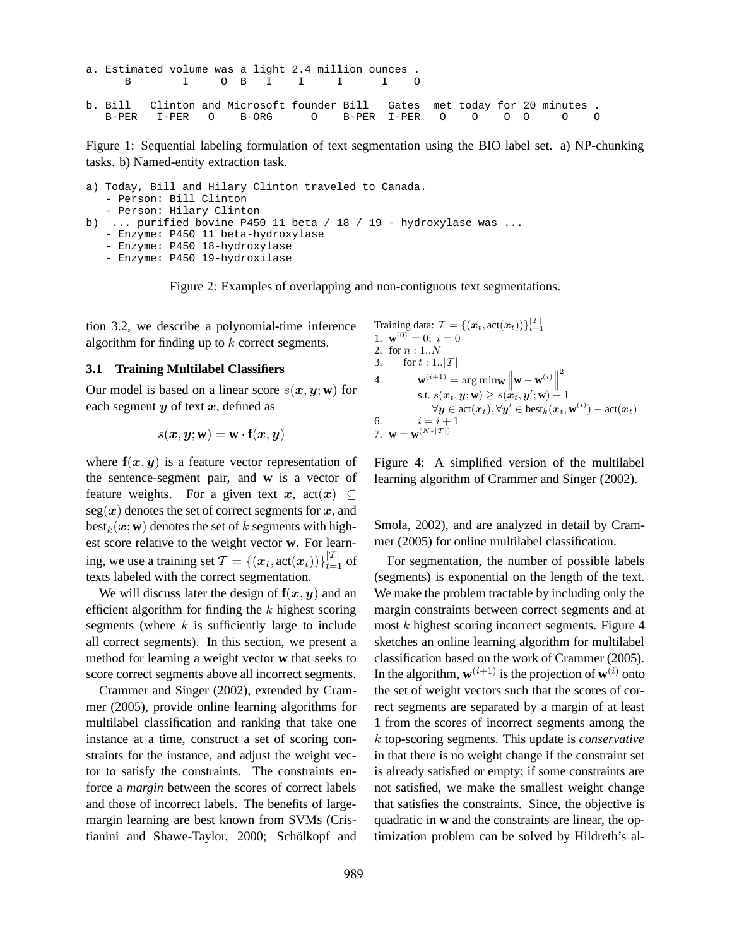```
a. Estimated volume was a light 2.4 million ounces .
    B I O B I I I I O
b. Bill Clinton and Microsoft founder Bill Gates met today for 20 minutes .
  B-PER I-PER O B-ORG O B-PER I-PER O O O O O O
```
Figure 1: Sequential labeling formulation of text segmentation using the BIO label set. a) NP-chunking tasks. b) Named-entity extraction task.

```
a) Today, Bill and Hilary Clinton traveled to Canada.
   - Person: Bill Clinton
   - Person: Hilary Clinton
b) ... purified bovine P450 11 beta / 18 / 19 - hydroxylase was ...
   - Enzyme: P450 11 beta-hydroxylase
   - Enzyme: P450 18-hydroxylase
   - Enzyme: P450 19-hydroxilase
```
Figure 2: Examples of overlapping and non-contiguous text segmentations.

tion 3.2, we describe a polynomial-time inference algorithm for finding up to k correct segments.

#### **3.1 Training Multilabel Classifiers**

Our model is based on a linear score  $s(x, y; w)$  for each segment  $y$  of text  $x$ , defined as

$$
s(\bm{x},\bm{y};\mathbf{w})=\mathbf{w}\cdot\mathbf{f}(\bm{x},\bm{y})
$$

where  $f(x, y)$  is a feature vector representation of the sentence-segment pair, and **w** is a vector of feature weights. For a given text x,  $\text{act}(x) \subseteq$  $seg(x)$  denotes the set of correct segments for x, and  $\text{best}_k(\boldsymbol{x}; \mathbf{w})$  denotes the set of k segments with highest score relative to the weight vector **w**. For learning, we use a training set  $\mathcal{T} = \{(\boldsymbol{x}_t, \operatorname{act}(\boldsymbol{x}_t))\}_{t=1}^{|\mathcal{T}|}$  of texts labeled with the correct segmentation.

We will discuss later the design of  $f(x, y)$  and an efficient algorithm for finding the  $k$  highest scoring segments (where  $k$  is sufficiently large to include all correct segments). In this section, we present a method for learning a weight vector **w** that seeks to score correct segments above all incorrect segments.

Crammer and Singer (2002), extended by Crammer (2005), provide online learning algorithms for multilabel classification and ranking that take one instance at a time, construct a set of scoring constraints for the instance, and adjust the weight vector to satisfy the constraints. The constraints enforce a *margin* between the scores of correct labels and those of incorrect labels. The benefits of largemargin learning are best known from SVMs (Cristianini and Shawe-Taylor, 2000; Schölkopf and

Training data: 
$$
\mathcal{T} = \{(\boldsymbol{x}_t, \operatorname{act}(\boldsymbol{x}_t))\}_{t=1}^{|\mathcal{T}|}
$$
\n1. 
$$
\mathbf{w}^{(0)} = 0; i = 0
$$
\n2. for  $n : 1..N$ \n3. for  $t : 1..|\mathcal{T}|$ \n4. 
$$
\mathbf{w}^{(i+1)} = \arg \min \mathbf{w} \left\| \mathbf{w} - \mathbf{w}^{(i)} \right\|^2
$$
\n
$$
\text{s.t. } s(\boldsymbol{x}_t, \boldsymbol{y}; \mathbf{w}) \geq s(\boldsymbol{x}_t, \boldsymbol{y}'; \mathbf{w}) + 1
$$
\n
$$
\forall \boldsymbol{y} \in \operatorname{act}(\boldsymbol{x}_t), \forall \boldsymbol{y}' \in \operatorname{best}_k(\boldsymbol{x}_t; \mathbf{w}^{(i)}) - \operatorname{act}(\boldsymbol{x}_t)
$$
\n6. 
$$
i = i + 1
$$
\n7. 
$$
\mathbf{w} = \mathbf{w}^{(N*|\mathcal{T}|)}
$$

Figure 4: A simplified version of the multilabel learning algorithm of Crammer and Singer (2002).

Smola, 2002), and are analyzed in detail by Crammer (2005) for online multilabel classification.

For segmentation, the number of possible labels (segments) is exponential on the length of the text. We make the problem tractable by including only the margin constraints between correct segments and at most  $k$  highest scoring incorrect segments. Figure  $4$ sketches an online learning algorithm for multilabel classification based on the work of Crammer (2005). In the algorithm,  $\mathbf{w}^{(i+1)}$  is the projection of  $\mathbf{w}^{(i)}$  onto the set of weight vectors such that the scores of correct segments are separated by a margin of at least 1 from the scores of incorrect segments among the k top-scoring segments. This update is *conservative* in that there is no weight change if the constraint set is already satisfied or empty; if some constraints are not satisfied, we make the smallest weight change that satisfies the constraints. Since, the objective is quadratic in **w** and the constraints are linear, the optimization problem can be solved by Hildreth's al-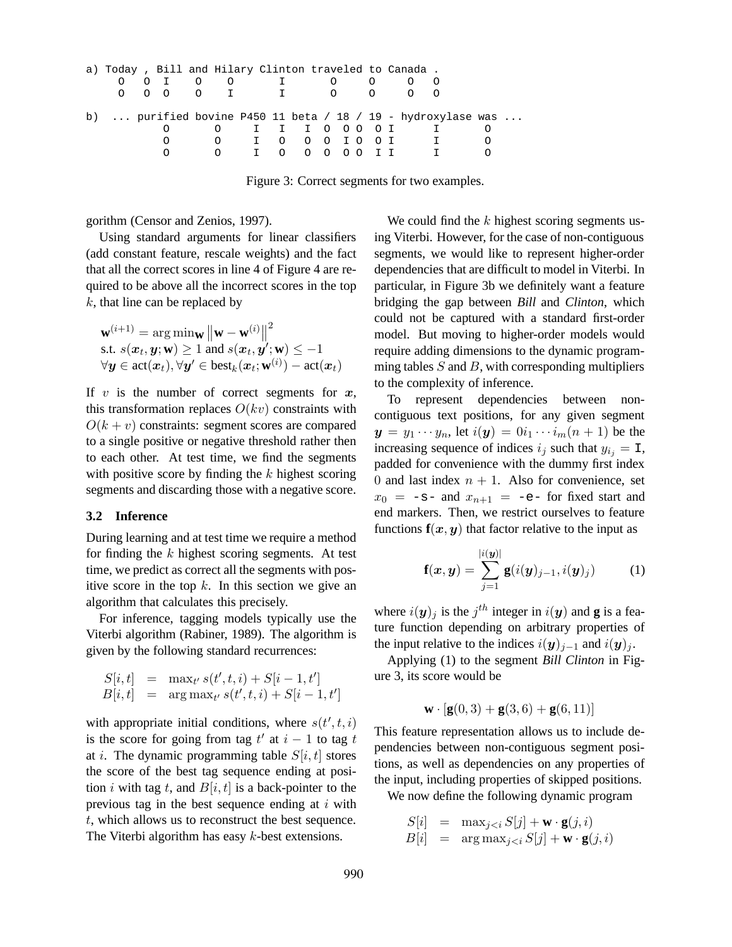| a) Today, Bill and Hilary Clinton traveled to Canada. |  |   |                                             |  |                         |  |  |  |  |    |  |             |                                                              |  |
|-------------------------------------------------------|--|---|---------------------------------------------|--|-------------------------|--|--|--|--|----|--|-------------|--------------------------------------------------------------|--|
|                                                       |  |   | $\begin{matrix} 0 & 0 & 1 & 0 \end{matrix}$ |  |                         |  |  |  |  |    |  |             |                                                              |  |
|                                                       |  |   |                                             |  | 0 0 0 0 1 1 1 0 0 0 0 0 |  |  |  |  |    |  |             |                                                              |  |
|                                                       |  |   |                                             |  |                         |  |  |  |  |    |  |             |                                                              |  |
|                                                       |  |   |                                             |  |                         |  |  |  |  |    |  |             | b)  purified bovine P450 11 beta / 18 / 19 - hydroxylase was |  |
|                                                       |  |   | 0 I I I O O O O I                           |  |                         |  |  |  |  |    |  |             |                                                              |  |
|                                                       |  | O | O I O O O I O O I                           |  |                         |  |  |  |  |    |  | $\mathbf I$ |                                                              |  |
|                                                       |  |   | 0 I 0 0 0 0 0                               |  |                         |  |  |  |  | II |  |             | $\mathsf{T}$                                                 |  |
|                                                       |  |   |                                             |  |                         |  |  |  |  |    |  |             |                                                              |  |

Figure 3: Correct segments for two examples.

gorithm (Censor and Zenios, 1997).

Using standard arguments for linear classifiers (add constant feature, rescale weights) and the fact that all the correct scores in line 4 of Figure 4 are required to be above all the incorrect scores in the top  $k$ , that line can be replaced by

$$
\mathbf{w}^{(i+1)} = \arg\min_{\mathbf{w}} \left\| \mathbf{w} - \mathbf{w}^{(i)} \right\|^2
$$
  
s.t.  $s(\mathbf{x}_t, \mathbf{y}; \mathbf{w}) \ge 1$  and  $s(\mathbf{x}_t, \mathbf{y}'; \mathbf{w}) \le -1$   
 $\forall \mathbf{y} \in \text{act}(\mathbf{x}_t), \forall \mathbf{y'} \in \text{best}_k(\mathbf{x}_t; \mathbf{w}^{(i)}) - \text{act}(\mathbf{x}_t)$ 

If  $v$  is the number of correct segments for  $x$ , this transformation replaces  $O(kv)$  constraints with  $O(k + v)$  constraints: segment scores are compared to a single positive or negative threshold rather then to each other. At test time, we find the segments with positive score by finding the  $k$  highest scoring segments and discarding those with a negative score.

#### **3.2 Inference**

During learning and at test time we require a method for finding the  $k$  highest scoring segments. At test time, we predict as correct all the segments with positive score in the top  $k$ . In this section we give an algorithm that calculates this precisely.

For inference, tagging models typically use the Viterbi algorithm (Rabiner, 1989). The algorithm is given by the following standard recurrences:

$$
S[i, t] = \max_{t'} s(t', t, i) + S[i - 1, t']
$$
  

$$
B[i, t] = \arg \max_{t'} s(t', t, i) + S[i - 1, t']
$$

with appropriate initial conditions, where  $s(t', t, i)$ is the score for going from tag  $t'$  at  $i - 1$  to tag t at *i*. The dynamic programming table  $S[i, t]$  stores the score of the best tag sequence ending at position i with tag t, and  $B[i, t]$  is a back-pointer to the previous tag in the best sequence ending at  $i$  with t, which allows us to reconstruct the best sequence. The Viterbi algorithm has easy k-best extensions.

We could find the  $k$  highest scoring segments using Viterbi. However, for the case of non-contiguous segments, we would like to represent higher-order dependencies that are difficult to model in Viterbi. In particular, in Figure 3b we definitely want a feature bridging the gap between *Bill* and *Clinton*, which could not be captured with a standard first-order model. But moving to higher-order models would require adding dimensions to the dynamic programming tables  $S$  and  $B$ , with corresponding multipliers to the complexity of inference.

To represent dependencies between noncontiguous text positions, for any given segment  $y = y_1 \cdots y_n$ , let  $i(y) = 0i_1 \cdots i_m(n+1)$  be the increasing sequence of indices  $i_j$  such that  $y_{i_j} = I$ , padded for convenience with the dummy first index 0 and last index  $n + 1$ . Also for convenience, set  $x_0 = -s$ - and  $x_{n+1} = -e$ - for fixed start and end markers. Then, we restrict ourselves to feature functions  $f(x, y)$  that factor relative to the input as

$$
\mathbf{f}(\boldsymbol{x}, \boldsymbol{y}) = \sum_{j=1}^{|i(\boldsymbol{y})|} \mathbf{g}(i(\boldsymbol{y})_{j-1}, i(\boldsymbol{y})_j)
$$
(1)

where  $i(y)_j$  is the  $j^{th}$  integer in  $i(y)$  and **g** is a feature function depending on arbitrary properties of the input relative to the indices  $i(y)_{j-1}$  and  $i(y)_j$ .

Applying (1) to the segment *Bill Clinton* in Figure 3, its score would be

$$
\mathbf{w} \cdot [\mathbf{g}(0,3) + \mathbf{g}(3,6) + \mathbf{g}(6,11)]
$$

This feature representation allows us to include dependencies between non-contiguous segment positions, as well as dependencies on any properties of the input, including properties of skipped positions.

We now define the following dynamic program

$$
S[i] = \max_{j < i} S[j] + \mathbf{w} \cdot \mathbf{g}(j, i)
$$
  

$$
B[i] = \arg \max_{j < i} S[j] + \mathbf{w} \cdot \mathbf{g}(j, i)
$$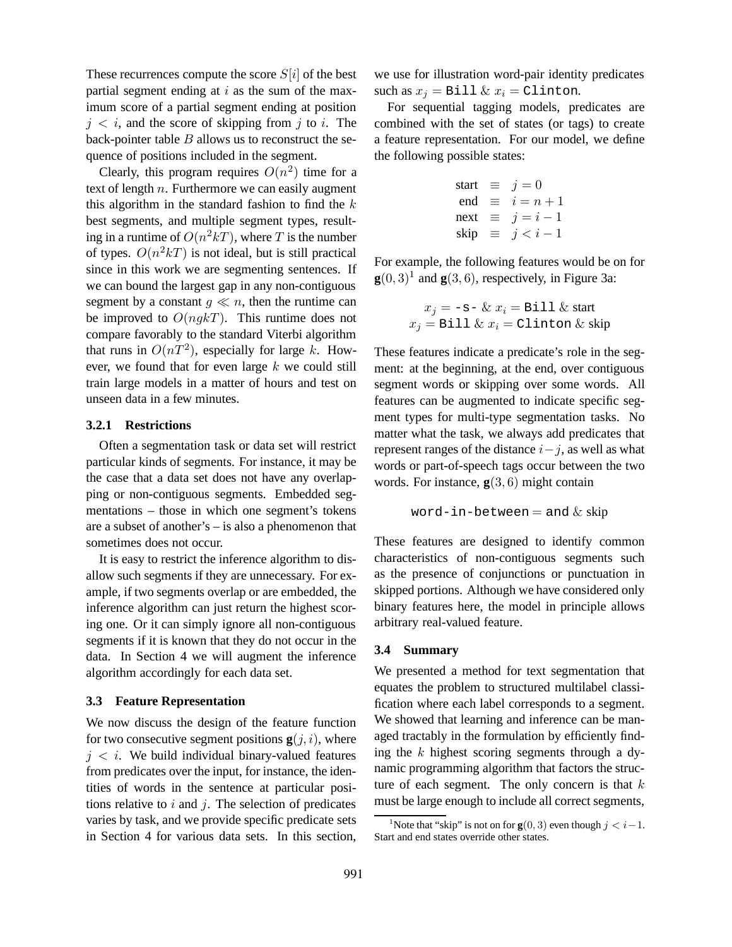These recurrences compute the score  $S[i]$  of the best partial segment ending at  $i$  as the sum of the maximum score of a partial segment ending at position  $j < i$ , and the score of skipping from j to i. The back-pointer table  $B$  allows us to reconstruct the sequence of positions included in the segment.

Clearly, this program requires  $O(n^2)$  time for a text of length  $n$ . Furthermore we can easily augment this algorithm in the standard fashion to find the  $k$ best segments, and multiple segment types, resulting in a runtime of  $O(n^2kT)$ , where T is the number of types.  $O(n^2kT)$  is not ideal, but is still practical since in this work we are segmenting sentences. If we can bound the largest gap in any non-contiguous segment by a constant  $q \ll n$ , then the runtime can be improved to  $O(nqkT)$ . This runtime does not compare favorably to the standard Viterbi algorithm that runs in  $O(nT^2)$ , especially for large k. However, we found that for even large k we could still train large models in a matter of hours and test on unseen data in a few minutes.

#### **3.2.1 Restrictions**

Often a segmentation task or data set will restrict particular kinds of segments. For instance, it may be the case that a data set does not have any overlapping or non-contiguous segments. Embedded segmentations – those in which one segment's tokens are a subset of another's – is also a phenomenon that sometimes does not occur.

It is easy to restrict the inference algorithm to disallow such segments if they are unnecessary. For example, if two segments overlap or are embedded, the inference algorithm can just return the highest scoring one. Or it can simply ignore all non-contiguous segments if it is known that they do not occur in the data. In Section 4 we will augment the inference algorithm accordingly for each data set.

#### **3.3 Feature Representation**

We now discuss the design of the feature function for two consecutive segment positions  $g(j, i)$ , where  $j < i$ . We build individual binary-valued features from predicates over the input, for instance, the identities of words in the sentence at particular positions relative to  $i$  and  $j$ . The selection of predicates varies by task, and we provide specific predicate sets in Section 4 for various data sets. In this section,

we use for illustration word-pair identity predicates such as  $x_i =$  Bill  $\& x_i =$  Clinton.

For sequential tagging models, predicates are combined with the set of states (or tags) to create a feature representation. For our model, we define the following possible states:

start 
$$
\equiv j = 0
$$
  
\nend  $\equiv i = n + 1$   
\nnext  $\equiv j = i - 1$   
\nskip  $\equiv j < i - 1$ 

For example, the following features would be on for  $\mathbf{g}(0,3)^1$  and  $\mathbf{g}(3,6)$ , respectively, in Figure 3a:

$$
x_j = -\mathbf{s} - \& x_i = \text{Bill} \& \text{start}
$$

$$
x_j = \text{Bill} \& x_i = \text{Clienton} \& \text{skip}
$$

These features indicate a predicate's role in the segment: at the beginning, at the end, over contiguous segment words or skipping over some words. All features can be augmented to indicate specific segment types for multi-type segmentation tasks. No matter what the task, we always add predicates that represent ranges of the distance  $i-j$ , as well as what words or part-of-speech tags occur between the two words. For instance, **g**(3, 6) might contain

$$
word-in-between = and & skip
$$

These features are designed to identify common characteristics of non-contiguous segments such as the presence of conjunctions or punctuation in skipped portions. Although we have considered only binary features here, the model in principle allows arbitrary real-valued feature.

### **3.4 Summary**

We presented a method for text segmentation that equates the problem to structured multilabel classification where each label corresponds to a segment. We showed that learning and inference can be managed tractably in the formulation by efficiently finding the  $k$  highest scoring segments through a dynamic programming algorithm that factors the structure of each segment. The only concern is that  $k$ must be large enough to include all correct segments,

<sup>&</sup>lt;sup>1</sup>Note that "skip" is not on for  $\mathbf{g}(0, 3)$  even though  $j < i-1$ . Start and end states override other states.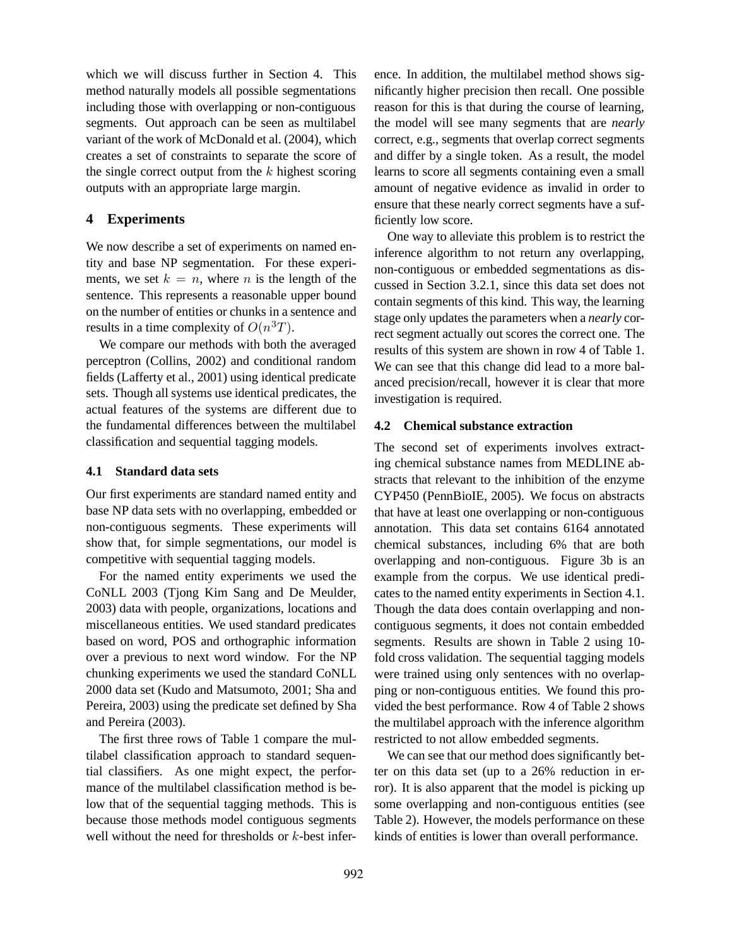which we will discuss further in Section 4. This method naturally models all possible segmentations including those with overlapping or non-contiguous segments. Out approach can be seen as multilabel variant of the work of McDonald et al. (2004), which creates a set of constraints to separate the score of the single correct output from the  $k$  highest scoring outputs with an appropriate large margin.

## **4 Experiments**

We now describe a set of experiments on named entity and base NP segmentation. For these experiments, we set  $k = n$ , where *n* is the length of the sentence. This represents a reasonable upper bound on the number of entities or chunks in a sentence and results in a time complexity of  $O(n^3T)$ .

We compare our methods with both the averaged perceptron (Collins, 2002) and conditional random fields (Lafferty et al., 2001) using identical predicate sets. Though all systems use identical predicates, the actual features of the systems are different due to the fundamental differences between the multilabel classification and sequential tagging models.

### **4.1 Standard data sets**

Our first experiments are standard named entity and base NP data sets with no overlapping, embedded or non-contiguous segments. These experiments will show that, for simple segmentations, our model is competitive with sequential tagging models.

For the named entity experiments we used the CoNLL 2003 (Tjong Kim Sang and De Meulder, 2003) data with people, organizations, locations and miscellaneous entities. We used standard predicates based on word, POS and orthographic information over a previous to next word window. For the NP chunking experiments we used the standard CoNLL 2000 data set (Kudo and Matsumoto, 2001; Sha and Pereira, 2003) using the predicate set defined by Sha and Pereira (2003).

The first three rows of Table 1 compare the multilabel classification approach to standard sequential classifiers. As one might expect, the performance of the multilabel classification method is below that of the sequential tagging methods. This is because those methods model contiguous segments well without the need for thresholds or  $k$ -best inference. In addition, the multilabel method shows significantly higher precision then recall. One possible reason for this is that during the course of learning, the model will see many segments that are *nearly* correct, e.g., segments that overlap correct segments and differ by a single token. As a result, the model learns to score all segments containing even a small amount of negative evidence as invalid in order to ensure that these nearly correct segments have a sufficiently low score.

One way to alleviate this problem is to restrict the inference algorithm to not return any overlapping, non-contiguous or embedded segmentations as discussed in Section 3.2.1, since this data set does not contain segments of this kind. This way, the learning stage only updates the parameters when a *nearly* correct segment actually out scores the correct one. The results of this system are shown in row 4 of Table 1. We can see that this change did lead to a more balanced precision/recall, however it is clear that more investigation is required.

### **4.2 Chemical substance extraction**

The second set of experiments involves extracting chemical substance names from MEDLINE abstracts that relevant to the inhibition of the enzyme CYP450 (PennBioIE, 2005). We focus on abstracts that have at least one overlapping or non-contiguous annotation. This data set contains 6164 annotated chemical substances, including 6% that are both overlapping and non-contiguous. Figure 3b is an example from the corpus. We use identical predicates to the named entity experiments in Section 4.1. Though the data does contain overlapping and noncontiguous segments, it does not contain embedded segments. Results are shown in Table 2 using 10 fold cross validation. The sequential tagging models were trained using only sentences with no overlapping or non-contiguous entities. We found this provided the best performance. Row 4 of Table 2 shows the multilabel approach with the inference algorithm restricted to not allow embedded segments.

We can see that our method does significantly better on this data set (up to a 26% reduction in error). It is also apparent that the model is picking up some overlapping and non-contiguous entities (see Table 2). However, the models performance on these kinds of entities is lower than overall performance.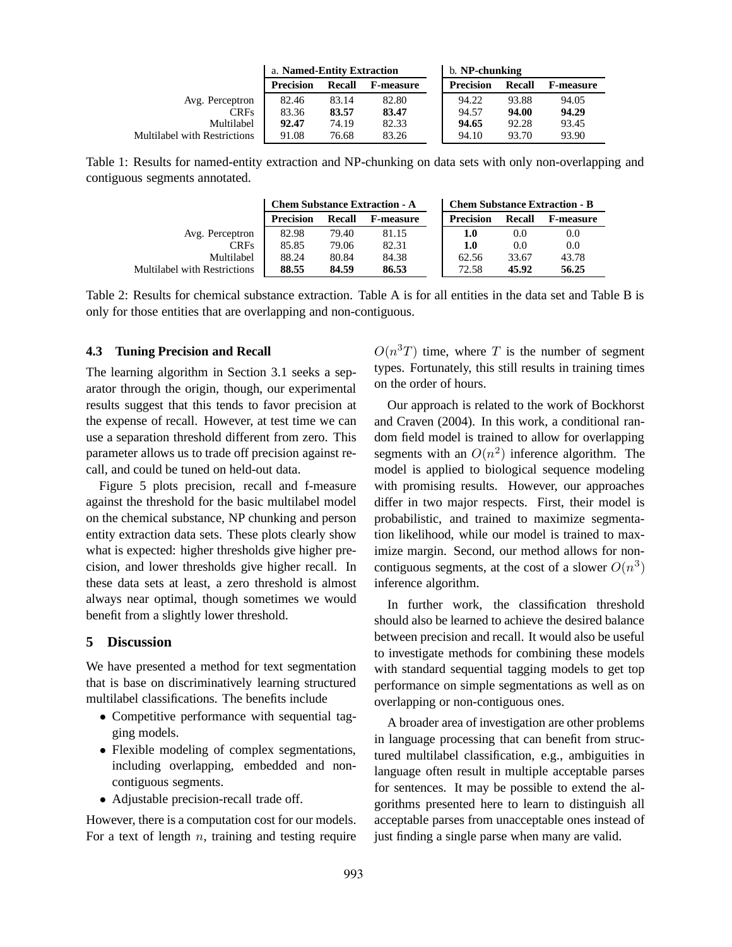|                              | a. Named-Entity Extraction |               |                  | b. NP-chunking   |               |                  |
|------------------------------|----------------------------|---------------|------------------|------------------|---------------|------------------|
|                              | <b>Precision</b>           | <b>Recall</b> | <b>F-measure</b> | <b>Precision</b> | <b>Recall</b> | <b>F-measure</b> |
| Avg. Perceptron              | 82.46                      | 83.14         | 82.80            | 94.22            | 93.88         | 94.05            |
| <b>CRFs</b>                  | 83.36                      | 83.57         | 83.47            | 94.57            | 94.00         | 94.29            |
| Multilabel                   | 92.47                      | 74.19         | 82.33            | 94.65            | 92.28         | 93.45            |
| Multilabel with Restrictions | 91.08                      | 76.68         | 83.26            | 94.10            | 93.70         | 93.90            |

Table 1: Results for named-entity extraction and NP-chunking on data sets with only non-overlapping and contiguous segments annotated.

|                              |                  |               | <b>Chem Substance Extraction - A</b> | <b>Chem Substance Extraction - B</b> |        |                  |  |  |
|------------------------------|------------------|---------------|--------------------------------------|--------------------------------------|--------|------------------|--|--|
|                              | <b>Precision</b> | <b>Recall</b> | <b>F-measure</b>                     | <b>Precision</b>                     | Recall | <b>F-measure</b> |  |  |
| Avg. Perceptron              | 82.98            | 79.40         | 81.15                                | 1.0                                  | 0.0    | 0.0              |  |  |
| <b>CRFs</b>                  | 85.85            | 79.06         | 82.31                                | $1.0\,$                              | 0.0    | 0.0              |  |  |
| Multilabel                   | 88.24            | 80.84         | 84.38                                | 62.56                                | 33.67  | 43.78            |  |  |
| Multilabel with Restrictions | 88.55            | 84.59         | 86.53                                | 72.58                                | 45.92  | 56.25            |  |  |

Table 2: Results for chemical substance extraction. Table A is for all entities in the data set and Table B is only for those entities that are overlapping and non-contiguous.

#### **4.3 Tuning Precision and Recall**

The learning algorithm in Section 3.1 seeks a separator through the origin, though, our experimental results suggest that this tends to favor precision at the expense of recall. However, at test time we can use a separation threshold different from zero. This parameter allows us to trade off precision against recall, and could be tuned on held-out data.

Figure 5 plots precision, recall and f-measure against the threshold for the basic multilabel model on the chemical substance, NP chunking and person entity extraction data sets. These plots clearly show what is expected: higher thresholds give higher precision, and lower thresholds give higher recall. In these data sets at least, a zero threshold is almost always near optimal, though sometimes we would benefit from a slightly lower threshold.

## **5 Discussion**

We have presented a method for text segmentation that is base on discriminatively learning structured multilabel classifications. The benefits include

- Competitive performance with sequential tagging models.
- Flexible modeling of complex segmentations, including overlapping, embedded and noncontiguous segments.
- Adjustable precision-recall trade off.

However, there is a computation cost for our models. For a text of length  $n$ , training and testing require

 $O(n^3T)$  time, where T is the number of segment types. Fortunately, this still results in training times on the order of hours.

Our approach is related to the work of Bockhorst and Craven (2004). In this work, a conditional random field model is trained to allow for overlapping segments with an  $O(n^2)$  inference algorithm. The model is applied to biological sequence modeling with promising results. However, our approaches differ in two major respects. First, their model is probabilistic, and trained to maximize segmentation likelihood, while our model is trained to maximize margin. Second, our method allows for noncontiguous segments, at the cost of a slower  $O(n^3)$ inference algorithm.

In further work, the classification threshold should also be learned to achieve the desired balance between precision and recall. It would also be useful to investigate methods for combining these models with standard sequential tagging models to get top performance on simple segmentations as well as on overlapping or non-contiguous ones.

A broader area of investigation are other problems in language processing that can benefit from structured multilabel classification, e.g., ambiguities in language often result in multiple acceptable parses for sentences. It may be possible to extend the algorithms presented here to learn to distinguish all acceptable parses from unacceptable ones instead of just finding a single parse when many are valid.